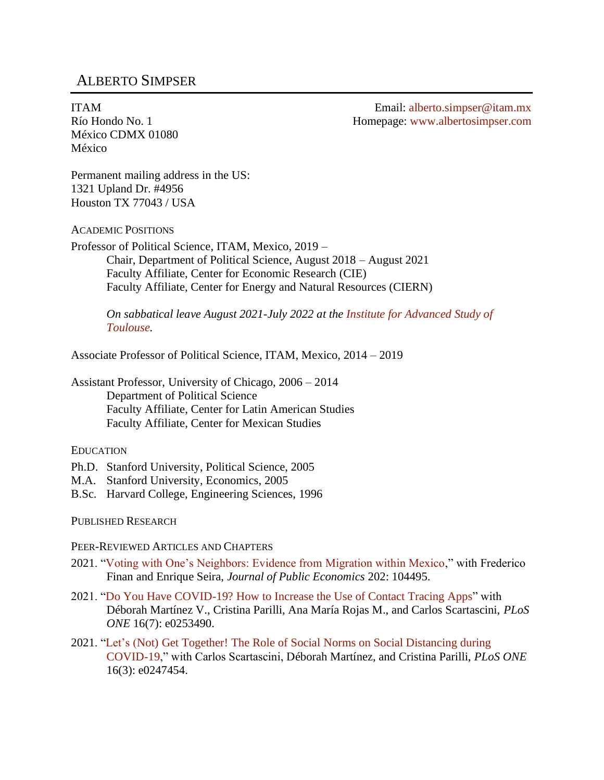# ALBERTO SIMPSER

ITAM Río Hondo No. 1 México CDMX 01080 México

Email: [alberto.simpser@itam.mx](mailto:alberto.simpser@itam.mx) Homepage: [www.albertosimpser.com](http://www.albertosimpser.com/)

Permanent mailing address in the US: 1321 Upland Dr. #4956 Houston TX 77043 / USA

ACADEMIC POSITIONS

Professor of Political Science, ITAM, Mexico, 2019 – Chair, Department of Political Science, August 2018 – August 2021 Faculty Affiliate, Center for Economic Research (CIE) Faculty Affiliate, Center for Energy and Natural Resources (CIERN)

*On sabbatical leave August 2021-July 2022 at the [Institute for Advanced Study of](https://www.iast.fr/)  [Toulouse.](https://www.iast.fr/)*

Associate Professor of Political Science, ITAM, Mexico, 2014 – 2019

Assistant Professor, University of Chicago, 2006 – 2014 Department of Political Science Faculty Affiliate, Center for Latin American Studies Faculty Affiliate, Center for Mexican Studies

### EDUCATION

- Ph.D. Stanford University, Political Science, 2005
- M.A. Stanford University, Economics, 2005
- B.Sc. Harvard College, Engineering Sciences, 1996

PUBLISHED RESEARCH

PEER-REVIEWED ARTICLES AND CHAPTERS

- 2021. ["Voting with One's Neighbors: Evidence from Migration within Mexico,](https://deliverypdf.ssrn.com/delivery.php?ID=991004073021021079093002076100093091096025095076029067119000123024068084005002001072121042119015047112061082127065112000068004119066064011050068078028104115028003099046054032120015085114093023093097028075119096088028088093084125026094007021074064102127&EXT=pdf&INDEX=TRUE)" with Frederico Finan and Enrique Seira, *Journal of Public Economics* 202: 104495.
- 2021. ["Do You Have COVID-19? How to Increase the Use of Contact Tracing Apps"](https://journals.plos.org/plosone/article?id=10.1371/journal.pone.0253490) with Déborah Martínez V., Cristina Parilli, Ana María Rojas M., and Carlos Scartascini, *PLoS ONE* 16(7): e0253490.
- 2021. ["Let's \(Not\) Get Together! The Role of Social Norms on Social Distancing during](https://journals.plos.org/plosone/article?id=10.1371/journal.pone.0247454)  [COVID-19,](https://journals.plos.org/plosone/article?id=10.1371/journal.pone.0247454)" with Carlos Scartascini, Déborah Martínez, and Cristina Parilli, *PLoS ONE* 16(3): e0247454.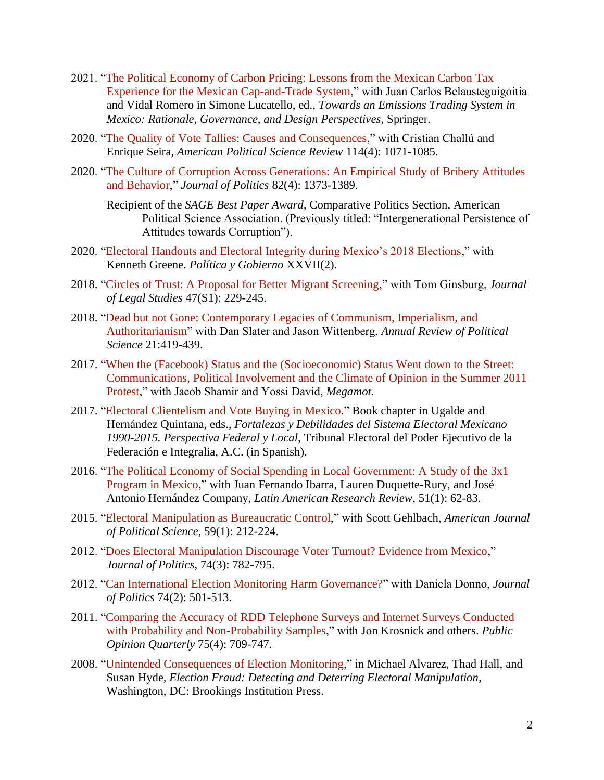- 2021. "The Political [Economy of Carbon Pricing: Lessons from the Mexican Carbon Tax](https://nam04.safelinks.protection.outlook.com/?url=https%3A%2F%2Flink.springer.com%2Fbook%2F10.1007%2F978-3-030-82759-5&data=04%7C01%7Cjuan.belausteguigoitia%40itam.mx%7C3e6d94ee9ea64db9ab5208d9c48c4c9a%7Cbc5eb99989e34663b72f13c503ec23cc%7C0%7C0%7C637756929742877112%7CUnknown%7CTWFpbGZsb3d8eyJWIjoiMC4wLjAwMDAiLCJQIjoiV2luMzIiLCJBTiI6Ik1haWwiLCJXVCI6Mn0%3D%7C2000&sdata=O%2Bt0yB2PMrjboy3hi7nKLyBZcpUP271OJABM7oQnF3M%3D&reserved=0)  [Experience for the Mexican Cap-and-Trade System,](https://nam04.safelinks.protection.outlook.com/?url=https%3A%2F%2Flink.springer.com%2Fbook%2F10.1007%2F978-3-030-82759-5&data=04%7C01%7Cjuan.belausteguigoitia%40itam.mx%7C3e6d94ee9ea64db9ab5208d9c48c4c9a%7Cbc5eb99989e34663b72f13c503ec23cc%7C0%7C0%7C637756929742877112%7CUnknown%7CTWFpbGZsb3d8eyJWIjoiMC4wLjAwMDAiLCJQIjoiV2luMzIiLCJBTiI6Ik1haWwiLCJXVCI6Mn0%3D%7C2000&sdata=O%2Bt0yB2PMrjboy3hi7nKLyBZcpUP271OJABM7oQnF3M%3D&reserved=0)" with Juan Carlos Belausteguigoitia and Vidal Romero in Simone Lucatello, ed., *Towards an Emissions Trading System in Mexico: Rationale, Governance, and Design Perspectives*, Springer.
- 2020. ["The Quality of Vote Tallies: Causes and Consequences,](https://doi.org/10.1017/S0003055420000398)" with Cristian Challú and Enrique Seira, *American Political Science Review* 114(4): 1071-1085.
- 2020. ["The Culture of Corruption Across Generations: An Empirical Study of Bribery Attitudes](https://doi.org/10.1086/708501)  [and Behavior,](https://doi.org/10.1086/708501)" *Journal of Politics* 82(4): 1373-1389.

Recipient of the *SAGE Best Paper Award*, Comparative Politics Section, American Political Science Association. (Previously titled: "Intergenerational Persistence of Attitudes towards Corruption").

- 2020. ["Electoral Handouts and Electoral Integrity during Mexico's 2018 Elections,](https://www.dropbox.com/s/f249jbgw5zuqmo9/GreeneSimpserPyGfinal.pdf?dl=0)" with Kenneth Greene. *Política y Gobierno* XXVII(2).
- 2018. ["Circles of Trust: A Proposal for Better Migrant Screening,](https://doi.org/10.1086/694338)" with Tom Ginsburg, *Journal of Legal Studies* 47(S1): 229-245.
- 2018. ["Dead but not Gone: Contemporary Legacies of Communism, Imperialism, and](https://doi.org/10.1146/annurev-polisci-062615-020900)  [Authoritarianism"](https://doi.org/10.1146/annurev-polisci-062615-020900) with Dan Slater and Jason Wittenberg, *Annual Review of Political Science* 21:419-439.
- 2017. ["When the \(Facebook\) Status and the \(Socioeconomic\) Status Went down to the Street:](https://www.megamot-journal.org.il/When+(Facebook)+status+and+(socioeconomic)+status+took+to+the+street+Communications+political+involvement+and+the+climate+of+opinion+in+the+summer+2011+protests+in+Israel_lan_english_11107_5324.aspx)  [Communications, Political Involvement and the Climate of Opinion in the Summer 2011](https://www.megamot-journal.org.il/When+(Facebook)+status+and+(socioeconomic)+status+took+to+the+street+Communications+political+involvement+and+the+climate+of+opinion+in+the+summer+2011+protests+in+Israel_lan_english_11107_5324.aspx)  [Protest,](https://www.megamot-journal.org.il/When+(Facebook)+status+and+(socioeconomic)+status+took+to+the+street+Communications+political+involvement+and+the+climate+of+opinion+in+the+summer+2011+protests+in+Israel_lan_english_11107_5324.aspx)" with Jacob Shamir and Yossi David, *Megamot.*
- 2017. ["Electoral Clientelism and Vote Buying in Mexico.](https://www.dropbox.com/s/mzey1eg4ekgop5n/Capitulo15-Simpser.pdf?dl=0)" Book chapter in Ugalde and Hernández Quintana, eds., *Fortalezas y Debilidades del Sistema Electoral Mexicano 1990-2015. Perspectiva Federal y Local*, Tribunal Electoral del Poder Ejecutivo de la Federación e Integralia, A.C. (in Spanish).
- 2016. ["The Political Economy of Social Spending in Local Government: A Study of the 3x1](https://doi.org/10.1353/lar.2016.0013)  [Program in Mexico,](https://doi.org/10.1353/lar.2016.0013)" with Juan Fernando Ibarra, Lauren Duquette-Rury, and José Antonio Hernández Company, *Latin American Research Review*, 51(1): 62-83.
- 2015. ["Electoral Manipulation as Bureaucratic Control,](https://doi.org/10.1111/ajps.12122)" with Scott Gehlbach, *American Journal of Political Science*, 59(1): 212-224.
- 2012. ["Does Electoral Manipulation Discourage Voter Turnout? Evidence from Mexico,](https://doi.org/10.1017/S0022381612000333)" *Journal of Politics*, 74(3): 782-795.
- 2012. ["Can International Election Monitoring Harm Governance?"](https://doi.org/10.1017/S002238161100168X) with Daniela Donno, *Journal of Politics* 74(2): 501-513.
- 2011. ["Comparing the Accuracy of RDD Telephone Surveys and Internet Surveys Conducted](https://doi.org/10.1093/poq/nfr020)  [with Probability and Non-Probability Samples,](https://doi.org/10.1093/poq/nfr020)" with Jon Krosnick and others. *Public Opinion Quarterly* 75(4): 709-747.
- 2008. ["Unintended Consequences of Election Monitoring,](https://muse.jhu.edu/chapter/1202038)" in Michael Alvarez, Thad Hall, and Susan Hyde, *Election Fraud: Detecting and Deterring Electoral Manipulation*, Washington, DC: Brookings Institution Press.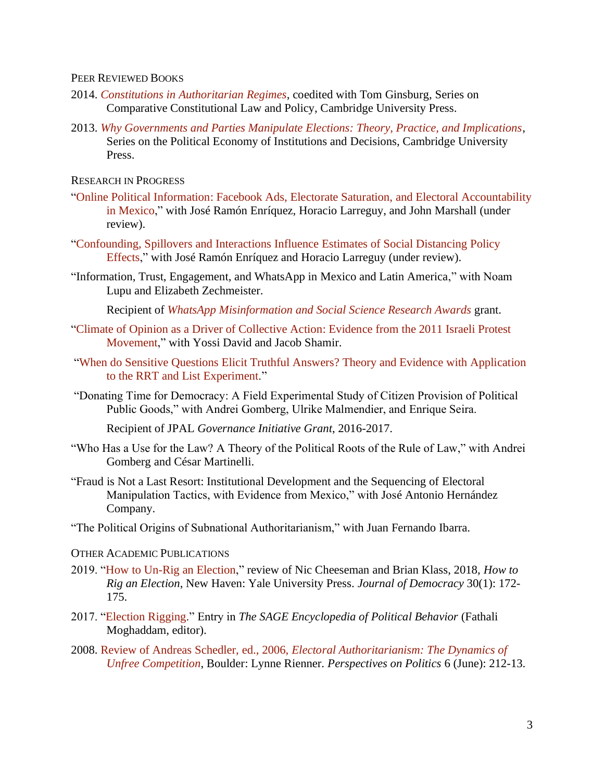#### PEER REVIEWED BOOKS

- 2014. *[Constitutions in Authoritarian Regimes](https://doi.org/10.1017/CBO9781107252523)*, coedited with Tom Ginsburg, Series on Comparative Constitutional Law and Policy, Cambridge University Press.
- 2013. *[Why Governments and Parties Manipulate Elections: Theory, Practice, and Implications](https://doi.org/10.1017/CBO9781139343824)*, Series on the Political Economy of Institutions and Decisions, Cambridge University Press.

RESEARCH IN PROGRESS

- ["Online Political Information: Facebook Ads, Electorate Saturation, and Electoral Accountability](https://deliverypdf.ssrn.com/delivery.php?ID=803090114088007108013124102071029103016052085015079029126116071027126077064113114030006052013006037046016118078076001090113013048011066061044007103021119100109103025091015052086119005004070101121120116088100068093122111011086070066106121017121124107098&EXT=pdf&INDEX=TRUE)  [in Mexico,](https://deliverypdf.ssrn.com/delivery.php?ID=803090114088007108013124102071029103016052085015079029126116071027126077064113114030006052013006037046016118078076001090113013048011066061044007103021119100109103025091015052086119005004070101121120116088100068093122111011086070066106121017121124107098&EXT=pdf&INDEX=TRUE)" with José Ramón Enríquez, Horacio Larreguy, and John Marshall (under review).
- ["Confounding, Spillovers and Interactions Influence Estimates of Social Distancing Policy](https://deliverypdf.ssrn.com/delivery.php?ID=580124069074120004017066023075089126116045031036095011024097024122100100064112119090025045023032105055117096114115105127018069007094031035053089126123090100064018102089089082093087118084112080066119094091115113001017124003116069091097016127120087069127&EXT=pdf&INDEX=TRUE)  [Effects,](https://deliverypdf.ssrn.com/delivery.php?ID=580124069074120004017066023075089126116045031036095011024097024122100100064112119090025045023032105055117096114115105127018069007094031035053089126123090100064018102089089082093087118084112080066119094091115113001017124003116069091097016127120087069127&EXT=pdf&INDEX=TRUE)" with José Ramón Enríquez and Horacio Larreguy (under review).
- "Information, Trust, Engagement, and WhatsApp in Mexico and Latin America," with Noam Lupu and Elizabeth Zechmeister.

Recipient of *[WhatsApp Misinformation and Social Science Research Awards](https://www.whatsapp.com/research/awards/announcement/)* grant.

- ["Climate of Opinion as a Driver of Collective Action: Evidence from the 2011 Israeli Protest](https://www.dropbox.com/s/t12or4vhu47szdz/Climate%20of%20opinion%20effects%20261018%20clean.pdf?dl=0)  [Movement,](https://www.dropbox.com/s/t12or4vhu47szdz/Climate%20of%20opinion%20effects%20261018%20clean.pdf?dl=0)" with Yossi David and Jacob Shamir.
- ["When do Sensitive Questions Elicit Truthful Answers? Theory and Evidence with Application](https://www.dropbox.com/s/2zd0jddxu6s4rgp/SimpserSensitiveQuestionsAug2017.pdf?dl=0)  [to the RRT and List Experiment.](https://www.dropbox.com/s/2zd0jddxu6s4rgp/SimpserSensitiveQuestionsAug2017.pdf?dl=0)"
- "Donating Time for Democracy: A Field Experimental Study of Citizen Provision of Political Public Goods," with Andrei Gomberg, Ulrike Malmendier, and Enrique Seira.

Recipient of JPAL *Governance Initiative Grant*, 2016-2017.

- "Who Has a Use for the Law? A Theory of the Political Roots of the Rule of Law," with Andrei Gomberg and César Martinelli.
- "Fraud is Not a Last Resort: Institutional Development and the Sequencing of Electoral Manipulation Tactics, with Evidence from Mexico," with José Antonio Hernández Company.
- "The Political Origins of Subnational Authoritarianism," with Juan Fernando Ibarra.

#### OTHER ACADEMIC PUBLICATIONS

- 2019. ["How to Un-Rig an Election,](https://www.dropbox.com/s/b2c8mr8ack2s1ww/015_30.1_Simpser%20pp.%20172-177.pdf?dl=0)" review of Nic Cheeseman and Brian Klass, 2018, *How to Rig an Election*, New Haven: Yale University Press. *Journal of Democracy* 30(1): 172- 175.
- 2017. ["Election Rigging.](http://dx.doi.org/10.4135/9781483391144.n106)" Entry in *The SAGE Encyclopedia of Political Behavior* (Fathali Moghaddam, editor).
- 2008. Review of Andreas Schedler, ed., 2006, *[Electoral Authoritarianism: The Dynamics of](https://www.jstor.org/stable/20446737)  [Unfree Competition](https://www.jstor.org/stable/20446737)*, Boulder: Lynne Rienner. *Perspectives on Politics* 6 (June): 212-13.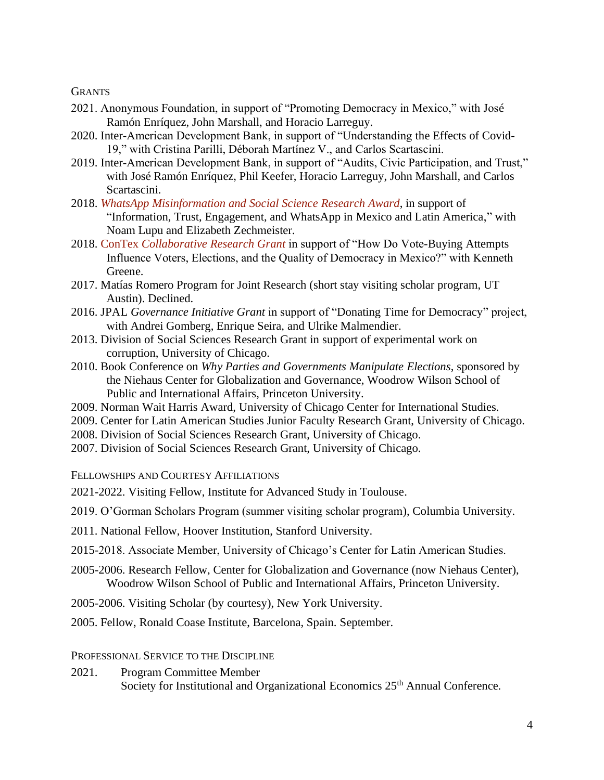**GRANTS** 

- 2021. Anonymous Foundation, in support of "Promoting Democracy in Mexico," with José Ramón Enríquez, John Marshall, and Horacio Larreguy.
- 2020. Inter-American Development Bank, in support of "Understanding the Effects of Covid-19," with Cristina Parilli, Déborah Martínez V., and Carlos Scartascini.
- 2019. Inter-American Development Bank, in support of "Audits, Civic Participation, and Trust," with José Ramón Enríquez, Phil Keefer, Horacio Larreguy, John Marshall, and Carlos Scartascini.
- 2018. *[WhatsApp Misinformation and Social Science Research Award](https://www.whatsapp.com/research/awards/announcement/)*, in support of "Information, Trust, Engagement, and WhatsApp in Mexico and Latin America," with Noam Lupu and Elizabeth Zechmeister.
- 2018. ConTex *[Collaborative Research Grant](http://www.contex.utsystem.edu/funding/)* in support of "How Do Vote-Buying Attempts Influence Voters, Elections, and the Quality of Democracy in Mexico?" with Kenneth Greene.
- 2017. Matías Romero Program for Joint Research (short stay visiting scholar program, UT Austin). Declined.
- 2016. JPAL *Governance Initiative Grant* in support of "Donating Time for Democracy" project, with Andrei Gomberg, Enrique Seira, and Ulrike Malmendier.
- 2013. Division of Social Sciences Research Grant in support of experimental work on corruption, University of Chicago.
- 2010. Book Conference on *Why Parties and Governments Manipulate Elections*, sponsored by the Niehaus Center for Globalization and Governance, Woodrow Wilson School of Public and International Affairs, Princeton University.
- 2009. Norman Wait Harris Award, University of Chicago Center for International Studies.
- 2009. Center for Latin American Studies Junior Faculty Research Grant, University of Chicago.
- 2008. Division of Social Sciences Research Grant, University of Chicago.
- 2007. Division of Social Sciences Research Grant, University of Chicago.

FELLOWSHIPS AND COURTESY AFFILIATIONS

2021-2022. Visiting Fellow, Institute for Advanced Study in Toulouse.

2019. O'Gorman Scholars Program (summer visiting scholar program), Columbia University.

- 2011. National Fellow, Hoover Institution, Stanford University.
- 2015-2018. Associate Member, University of Chicago's Center for Latin American Studies.
- 2005-2006. Research Fellow, Center for Globalization and Governance (now Niehaus Center), Woodrow Wilson School of Public and International Affairs, Princeton University.
- 2005-2006. Visiting Scholar (by courtesy), New York University.
- 2005. Fellow, Ronald Coase Institute, Barcelona, Spain. September.

PROFESSIONAL SERVICE TO THE DISCIPLINE

2021. Program Committee Member Society for Institutional and Organizational Economics 25<sup>th</sup> Annual Conference.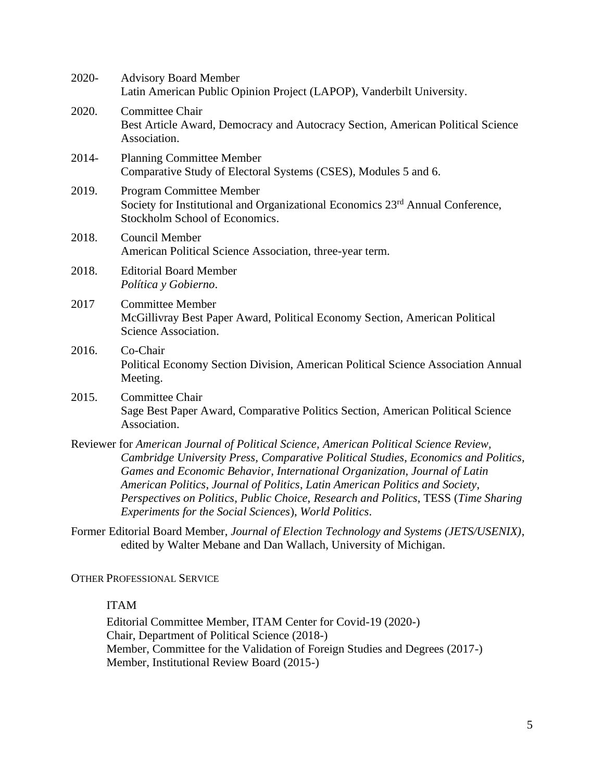| 2020-    | <b>Advisory Board Member</b><br>Latin American Public Opinion Project (LAPOP), Vanderbilt University.                                                                                                                                                                                                                                                                                                                                                                                    |
|----------|------------------------------------------------------------------------------------------------------------------------------------------------------------------------------------------------------------------------------------------------------------------------------------------------------------------------------------------------------------------------------------------------------------------------------------------------------------------------------------------|
| 2020.    | Committee Chair<br>Best Article Award, Democracy and Autocracy Section, American Political Science<br>Association.                                                                                                                                                                                                                                                                                                                                                                       |
| $2014 -$ | <b>Planning Committee Member</b><br>Comparative Study of Electoral Systems (CSES), Modules 5 and 6.                                                                                                                                                                                                                                                                                                                                                                                      |
| 2019.    | <b>Program Committee Member</b><br>Society for Institutional and Organizational Economics 23 <sup>rd</sup> Annual Conference,<br>Stockholm School of Economics.                                                                                                                                                                                                                                                                                                                          |
| 2018.    | <b>Council Member</b><br>American Political Science Association, three-year term.                                                                                                                                                                                                                                                                                                                                                                                                        |
| 2018.    | <b>Editorial Board Member</b><br>Política y Gobierno.                                                                                                                                                                                                                                                                                                                                                                                                                                    |
| 2017     | <b>Committee Member</b><br>McGillivray Best Paper Award, Political Economy Section, American Political<br>Science Association.                                                                                                                                                                                                                                                                                                                                                           |
| 2016.    | Co-Chair<br>Political Economy Section Division, American Political Science Association Annual<br>Meeting.                                                                                                                                                                                                                                                                                                                                                                                |
| 2015.    | Committee Chair<br>Sage Best Paper Award, Comparative Politics Section, American Political Science<br>Association.                                                                                                                                                                                                                                                                                                                                                                       |
|          | Reviewer for American Journal of Political Science, American Political Science Review,<br>Cambridge University Press, Comparative Political Studies, Economics and Politics,<br>Games and Economic Behavior, International Organization, Journal of Latin<br>American Politics, Journal of Politics, Latin American Politics and Society,<br>Perspectives on Politics, Public Choice, Research and Politics, TESS (Time Sharing<br>Experiments for the Social Sciences), World Politics. |

Former Editorial Board Member, *Journal of Election Technology and Systems (JETS/USENIX)*, edited by Walter Mebane and Dan Wallach, University of Michigan.

OTHER PROFESSIONAL SERVICE

ITAM

Editorial Committee Member, ITAM Center for Covid-19 (2020-) Chair, Department of Political Science (2018-) Member, Committee for the Validation of Foreign Studies and Degrees (2017-) Member, Institutional Review Board (2015-)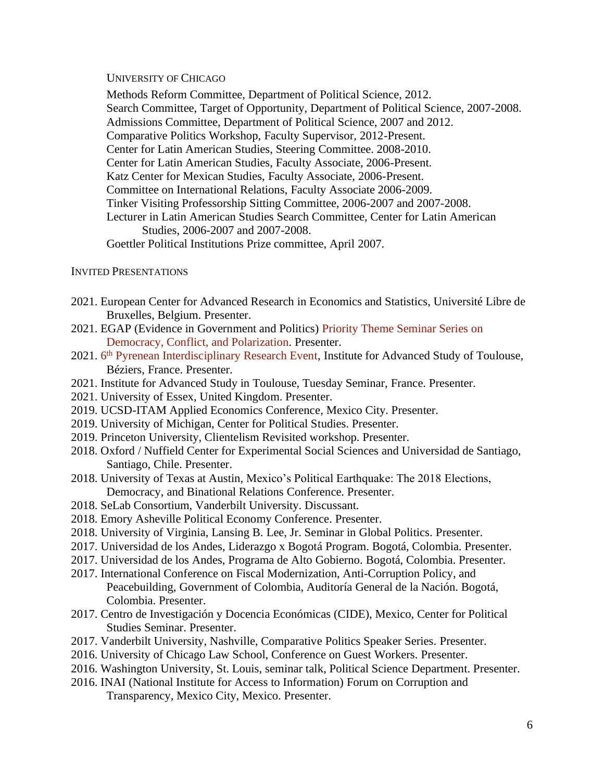UNIVERSITY OF CHICAGO

Methods Reform Committee, Department of Political Science, 2012. Search Committee, Target of Opportunity, Department of Political Science, 2007-2008. Admissions Committee, Department of Political Science, 2007 and 2012. Comparative Politics Workshop, Faculty Supervisor, 2012-Present. Center for Latin American Studies, Steering Committee. 2008-2010. Center for Latin American Studies, Faculty Associate, 2006-Present. Katz Center for Mexican Studies, Faculty Associate, 2006-Present. Committee on International Relations, Faculty Associate 2006-2009. Tinker Visiting Professorship Sitting Committee, 2006-2007 and 2007-2008. Lecturer in Latin American Studies Search Committee, Center for Latin American Studies, 2006-2007 and 2007-2008. Goettler Political Institutions Prize committee, April 2007.

### INVITED PRESENTATIONS

- 2021. European Center for Advanced Research in Economics and Statistics, Université Libre de Bruxelles, Belgium. Presenter.
- 2021. EGAP (Evidence in Government and Politics) [Priority Theme Seminar Series on](https://egap.org/resource/priority-theme-seminar-series-political-polarization-and-municipal-government-accountability-during-the-covid-19-pandemic-in-mexico/)  [Democracy, Conflict, and Polarization.](https://egap.org/resource/priority-theme-seminar-series-political-polarization-and-municipal-government-accountability-during-the-covid-19-pandemic-in-mexico/) Presenter.
- 2021. 6<sup>th</sup> [Pyrenean Interdisciplinary Research Event,](https://www.iast.fr/conferences/2021-6th-pyrenean-interdisciplinary-research-event-piren) Institute for Advanced Study of Toulouse, Béziers, France. Presenter.
- 2021. Institute for Advanced Study in Toulouse, Tuesday Seminar, France. Presenter.
- 2021. University of Essex, United Kingdom. Presenter.
- 2019. UCSD-ITAM Applied Economics Conference, Mexico City. Presenter.
- 2019. University of Michigan, Center for Political Studies. Presenter.
- 2019. Princeton University, Clientelism Revisited workshop. Presenter.
- 2018. Oxford / Nuffield Center for Experimental Social Sciences and Universidad de Santiago, Santiago, Chile. Presenter.
- 2018. University of Texas at Austin, Mexico's Political Earthquake: The 2018 Elections, Democracy, and Binational Relations Conference. Presenter.
- 2018. SeLab Consortium, Vanderbilt University. Discussant.
- 2018. Emory Asheville Political Economy Conference. Presenter.
- 2018. University of Virginia, Lansing B. Lee, Jr. Seminar in Global Politics. Presenter.
- 2017. Universidad de los Andes, Liderazgo x Bogotá Program. Bogotá, Colombia. Presenter.
- 2017. Universidad de los Andes, Programa de Alto Gobierno. Bogotá, Colombia. Presenter.
- 2017. International Conference on Fiscal Modernization, Anti-Corruption Policy, and Peacebuilding, Government of Colombia, Auditoría General de la Nación. Bogotá, Colombia. Presenter.
- 2017. Centro de Investigación y Docencia Económicas (CIDE), Mexico, Center for Political Studies Seminar. Presenter.
- 2017. Vanderbilt University, Nashville, Comparative Politics Speaker Series. Presenter.
- 2016. University of Chicago Law School, Conference on Guest Workers. Presenter.
- 2016. Washington University, St. Louis, seminar talk, Political Science Department. Presenter.
- 2016. INAI (National Institute for Access to Information) Forum on Corruption and Transparency, Mexico City, Mexico. Presenter.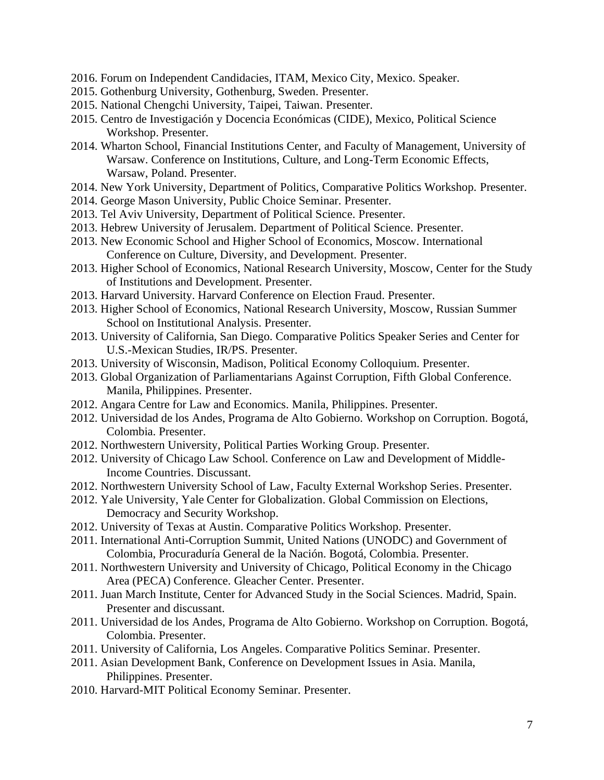- 2016. Forum on Independent Candidacies, ITAM, Mexico City, Mexico. Speaker.
- 2015. Gothenburg University, Gothenburg, Sweden. Presenter.
- 2015. National Chengchi University, Taipei, Taiwan. Presenter.
- 2015. Centro de Investigación y Docencia Económicas (CIDE), Mexico, Political Science Workshop. Presenter.
- 2014. Wharton School, Financial Institutions Center, and Faculty of Management, University of Warsaw. Conference on Institutions, Culture, and Long-Term Economic Effects, Warsaw, Poland. Presenter.
- 2014. New York University, Department of Politics, Comparative Politics Workshop. Presenter.
- 2014. George Mason University, Public Choice Seminar. Presenter.
- 2013. Tel Aviv University, Department of Political Science. Presenter.
- 2013. Hebrew University of Jerusalem. Department of Political Science. Presenter.
- 2013. New Economic School and Higher School of Economics, Moscow. International Conference on Culture, Diversity, and Development. Presenter.
- 2013. Higher School of Economics, National Research University, Moscow, Center for the Study of Institutions and Development. Presenter.
- 2013. Harvard University. Harvard Conference on Election Fraud. Presenter.
- 2013. Higher School of Economics, National Research University, Moscow, Russian Summer School on Institutional Analysis. Presenter.
- 2013. University of California, San Diego. Comparative Politics Speaker Series and Center for U.S.-Mexican Studies, IR/PS. Presenter.
- 2013. University of Wisconsin, Madison, Political Economy Colloquium. Presenter.
- 2013. Global Organization of Parliamentarians Against Corruption, Fifth Global Conference. Manila, Philippines. Presenter.
- 2012. Angara Centre for Law and Economics. Manila, Philippines. Presenter.
- 2012. Universidad de los Andes, Programa de Alto Gobierno. Workshop on Corruption. Bogotá, Colombia. Presenter.
- 2012. Northwestern University, Political Parties Working Group. Presenter.
- 2012. University of Chicago Law School. Conference on Law and Development of Middle-Income Countries. Discussant.
- 2012. Northwestern University School of Law, Faculty External Workshop Series. Presenter.
- 2012. Yale University, Yale Center for Globalization. Global Commission on Elections, Democracy and Security Workshop.
- 2012. University of Texas at Austin. Comparative Politics Workshop. Presenter.
- 2011. International Anti-Corruption Summit, United Nations (UNODC) and Government of Colombia, Procuraduría General de la Nación. Bogotá, Colombia. Presenter.
- 2011. Northwestern University and University of Chicago, Political Economy in the Chicago Area (PECA) Conference. Gleacher Center. Presenter.
- 2011. Juan March Institute, Center for Advanced Study in the Social Sciences. Madrid, Spain. Presenter and discussant.
- 2011. Universidad de los Andes, Programa de Alto Gobierno. Workshop on Corruption. Bogotá, Colombia. Presenter.
- 2011. University of California, Los Angeles. Comparative Politics Seminar. Presenter.
- 2011. Asian Development Bank, Conference on Development Issues in Asia. Manila, Philippines. Presenter.
- 2010. Harvard-MIT Political Economy Seminar. Presenter.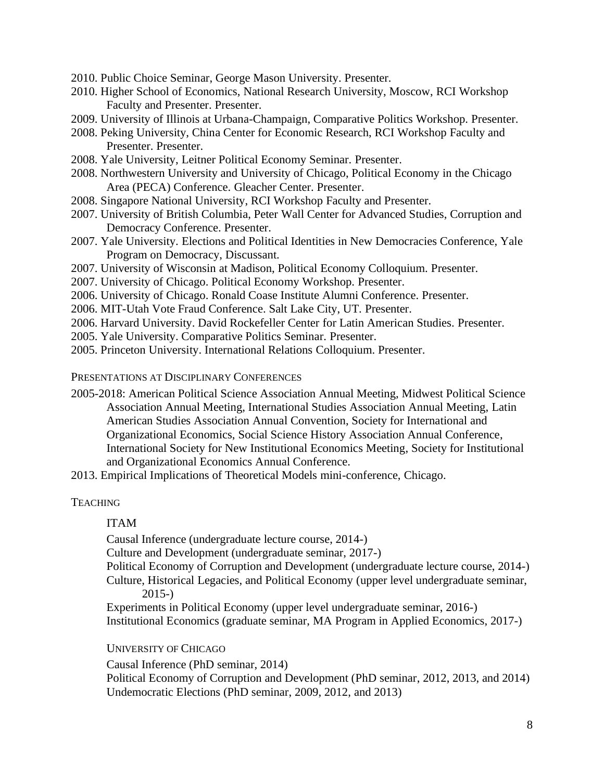- 2010. Public Choice Seminar, George Mason University. Presenter.
- 2010. Higher School of Economics, National Research University, Moscow, RCI Workshop Faculty and Presenter. Presenter.
- 2009. University of Illinois at Urbana-Champaign, Comparative Politics Workshop. Presenter.
- 2008. Peking University, China Center for Economic Research, RCI Workshop Faculty and Presenter. Presenter.
- 2008. Yale University, Leitner Political Economy Seminar. Presenter.
- 2008. Northwestern University and University of Chicago, Political Economy in the Chicago Area (PECA) Conference. Gleacher Center. Presenter.
- 2008. Singapore National University, RCI Workshop Faculty and Presenter.
- 2007. University of British Columbia, Peter Wall Center for Advanced Studies, Corruption and Democracy Conference. Presenter.
- 2007. Yale University. Elections and Political Identities in New Democracies Conference, Yale Program on Democracy, Discussant.
- 2007. University of Wisconsin at Madison, Political Economy Colloquium. Presenter.
- 2007. University of Chicago. Political Economy Workshop. Presenter.
- 2006. University of Chicago. Ronald Coase Institute Alumni Conference. Presenter.
- 2006. MIT-Utah Vote Fraud Conference. Salt Lake City, UT. Presenter.
- 2006. Harvard University. David Rockefeller Center for Latin American Studies. Presenter.
- 2005. Yale University. Comparative Politics Seminar. Presenter.
- 2005. Princeton University. International Relations Colloquium. Presenter.

PRESENTATIONS AT DISCIPLINARY CONFERENCES

- 2005-2018: American Political Science Association Annual Meeting, Midwest Political Science Association Annual Meeting, International Studies Association Annual Meeting, Latin American Studies Association Annual Convention, Society for International and Organizational Economics, Social Science History Association Annual Conference, International Society for New Institutional Economics Meeting, Society for Institutional and Organizational Economics Annual Conference.
- 2013. Empirical Implications of Theoretical Models mini-conference, Chicago.

### **TEACHING**

### ITAM

Causal Inference (undergraduate lecture course, 2014-)

Culture and Development (undergraduate seminar, 2017-)

Political Economy of Corruption and Development (undergraduate lecture course, 2014-)

Culture, Historical Legacies, and Political Economy (upper level undergraduate seminar, 2015-)

Experiments in Political Economy (upper level undergraduate seminar, 2016-) Institutional Economics (graduate seminar, MA Program in Applied Economics, 2017-)

### UNIVERSITY OF CHICAGO

Causal Inference (PhD seminar, 2014)

Political Economy of Corruption and Development (PhD seminar, 2012, 2013, and 2014) Undemocratic Elections (PhD seminar, 2009, 2012, and 2013)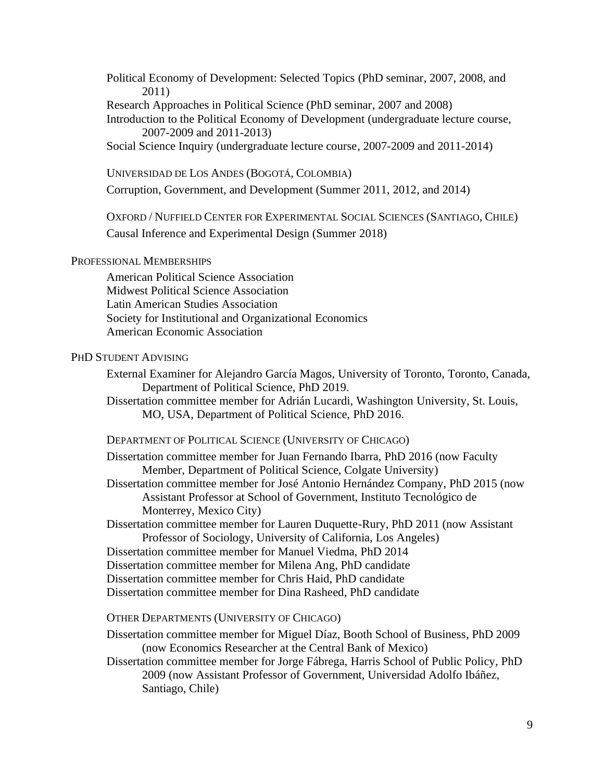Political Economy of Development: Selected Topics (PhD seminar, 2007, 2008, and 2011)

Research Approaches in Political Science (PhD seminar, 2007 and 2008)

Introduction to the Political Economy of Development (undergraduate lecture course, 2007-2009 and 2011-2013)

Social Science Inquiry (undergraduate lecture course, 2007-2009 and 2011-2014)

UNIVERSIDAD DE LOS ANDES (BOGOTÁ, COLOMBIA)

Corruption, Government, and Development (Summer 2011, 2012, and 2014)

OXFORD / NUFFIELD CENTER FOR EXPERIMENTAL SOCIAL SCIENCES (SANTIAGO, CHILE) Causal Inference and Experimental Design (Summer 2018)

### PROFESSIONAL MEMBERSHIPS

American Political Science Association Midwest Political Science Association Latin American Studies Association Society for Institutional and Organizational Economics American Economic Association

### PHD STUDENT ADVISING

External Examiner for Alejandro García Magos, University of Toronto, Toronto, Canada, Department of Political Science, PhD 2019.

Dissertation committee member for Adrián Lucardi, Washington University, St. Louis, MO, USA, Department of Political Science, PhD 2016.

#### DEPARTMENT OF POLITICAL SCIENCE (UNIVERSITY OF CHICAGO)

Dissertation committee member for Juan Fernando Ibarra, PhD 2016 (now Faculty Member, Department of Political Science, Colgate University)

Dissertation committee member for José Antonio Hernández Company, PhD 2015 (now Assistant Professor at School of Government, Instituto Tecnológico de Monterrey, Mexico City)

Dissertation committee member for Lauren Duquette-Rury, PhD 2011 (now Assistant Professor of Sociology, University of California, Los Angeles)

Dissertation committee member for Manuel Viedma, PhD 2014

Dissertation committee member for Milena Ang, PhD candidate

Dissertation committee member for Chris Haid, PhD candidate

Dissertation committee member for Dina Rasheed, PhD candidate

OTHER DEPARTMENTS (UNIVERSITY OF CHICAGO)

Dissertation committee member for Miguel Díaz, Booth School of Business, PhD 2009 (now Economics Researcher at the Central Bank of Mexico)

Dissertation committee member for Jorge Fábrega, Harris School of Public Policy, PhD 2009 (now Assistant Professor of Government, Universidad Adolfo Ibáñez, Santiago, Chile)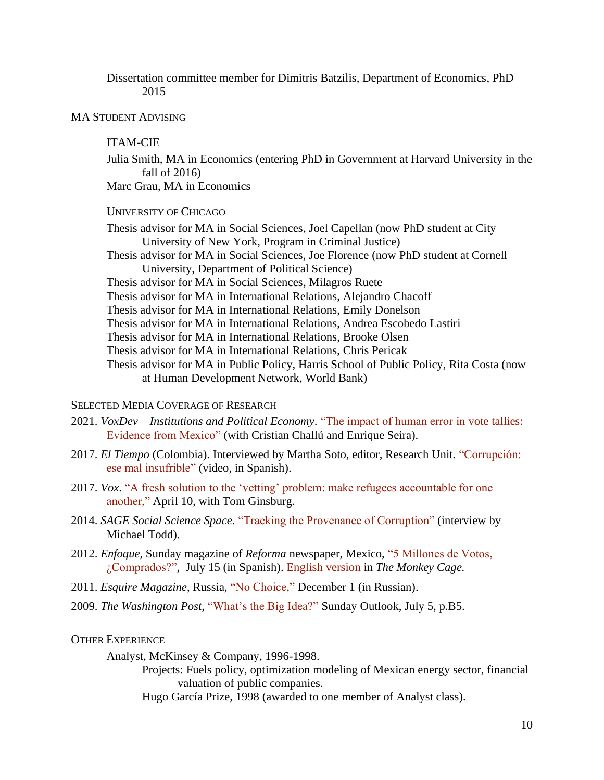Dissertation committee member for Dimitris Batzilis, Department of Economics, PhD 2015

MA STUDENT ADVISING

#### ITAM-CIE

Julia Smith, MA in Economics (entering PhD in Government at Harvard University in the fall of 2016)

Marc Grau, MA in Economics

UNIVERSITY OF CHICAGO

Thesis advisor for MA in Social Sciences, Joel Capellan (now PhD student at City University of New York, Program in Criminal Justice)

Thesis advisor for MA in Social Sciences, Joe Florence (now PhD student at Cornell University, Department of Political Science)

Thesis advisor for MA in Social Sciences, Milagros Ruete

Thesis advisor for MA in International Relations, Alejandro Chacoff

Thesis advisor for MA in International Relations, Emily Donelson

Thesis advisor for MA in International Relations, Andrea Escobedo Lastiri

Thesis advisor for MA in International Relations, Brooke Olsen

Thesis advisor for MA in International Relations, Chris Pericak

Thesis advisor for MA in Public Policy, Harris School of Public Policy, Rita Costa (now at Human Development Network, World Bank)

### SELECTED MEDIA COVERAGE OF RESEARCH

- 2021. *VoxDev – Institutions and Political Economy*. ["The impact of human error in vote tallies:](https://voxdev.org/topic/institutions-political-economy/impact-human-error-vote-tallies-evidence-mexico)  [Evidence from Mexico"](https://voxdev.org/topic/institutions-political-economy/impact-human-error-vote-tallies-evidence-mexico) (with Cristian Challú and Enrique Seira).
- 2017. *El Tiempo* (Colombia). Interviewed by Martha Soto, editor, Research Unit. ["Corrupción:](https://www.youtube.com/watch?v=EV51wiVjfRc&feature=youtu.be)  [ese mal insufrible"](https://www.youtube.com/watch?v=EV51wiVjfRc&feature=youtu.be) (video, in Spanish).
- 2017. *Vox*. ["A fresh solution to the 'vetting' problem: make refugees accountable for one](https://www.vox.com/the-big-idea/2017/4/10/15226110/vetting-refugees-terrorism-security-borders)  [another,"](https://www.vox.com/the-big-idea/2017/4/10/15226110/vetting-refugees-terrorism-security-borders) April 10, with Tom Ginsburg.
- 2014. *SAGE Social Science Space*. ["Tracking the Provenance of Corruption"](http://connection.sagepub.com/blog/industry-news/2014/10/29/tracking-the-provenance-of-corruption/) (interview by Michael Todd).
- 2012. *Enfoque*, Sunday magazine of *Reforma* newspaper, Mexico, ["5 Millones de Votos,](http://media.wix.com/ugd/ffc6ec_fd99006970034a449e648523043827ab.pdf)  [¿Comprados?",](http://media.wix.com/ugd/ffc6ec_fd99006970034a449e648523043827ab.pdf) July 15 (in Spanish). [English version](http://themonkeycage.org/2012/07/10/could-the-pri-have-bought-its-electoral-result-in-the-2012-mexican-election-probably-not/) in *The Monkey Cage.*
- 2011. *Esquire Magazine*, Russia, ["No Choice,"](http://esquire.ru/elections) December 1 (in Russian).
- 2009. *The Washington Post*, ["What's the Big Idea?"](http://www.washingtonpost.com/wp-dyn/content/article/2009/07/02/AR2009070201938.html?referrer=emailarticle) Sunday Outlook, July 5, p.B5.

#### OTHER EXPERIENCE

Analyst, McKinsey & Company, 1996-1998.

Projects: Fuels policy, optimization modeling of Mexican energy sector, financial valuation of public companies.

Hugo García Prize, 1998 (awarded to one member of Analyst class).